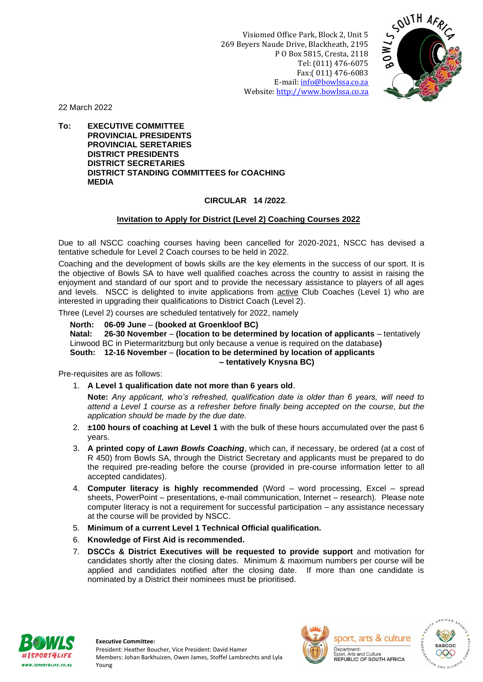Visiomed Office Park, Block 2, Unit 5 269 Beyers Naude Drive, Blackheath, 2195 P O Box 5815, Cresta, 2118 Tel: (011) 476-6075 Fax:( 011) 476-6083 E-mail: [info@bowlssa.co.za](mailto:info@bowlssa.co.za) Website: [http://www.bowlssa.co.za](http://www.bowlssa.co.za/)



22 March 2022

**To: EXECUTIVE COMMITTEE PROVINCIAL PRESIDENTS PROVINCIAL SERETARIES DISTRICT PRESIDENTS DISTRICT SECRETARIES DISTRICT STANDING COMMITTEES for COACHING MEDIA**

## **CIRCULAR 14 /2022**.

## **Invitation to Apply for District (Level 2) Coaching Courses 2022**

Due to all NSCC coaching courses having been cancelled for 2020-2021, NSCC has devised a tentative schedule for Level 2 Coach courses to be held in 2022.

Coaching and the development of bowls skills are the key elements in the success of our sport. It is the objective of Bowls SA to have well qualified coaches across the country to assist in raising the enjoyment and standard of our sport and to provide the necessary assistance to players of all ages and levels. NSCC is delighted to invite applications from active Club Coaches (Level 1) who are interested in upgrading their qualifications to District Coach (Level 2).

Three (Level 2) courses are scheduled tentatively for 2022, namely

**North: 06-09 June** – **(booked at Groenkloof BC)**

**Natal: 26-30 November** – **(location to be determined by location of applicants** – tentatively Linwood BC in Pietermaritzburg but only because a venue is required on the database**) South: 12-16 November** – **(location to be determined by location of applicants**

## **– tentatively Knysna BC)**

Pre-requisites are as follows:

1. **A Level 1 qualification date not more than 6 years old**.

**Note:** *Any applicant, who's refreshed, qualification date is older than 6 years, will need to attend a Level 1 course as a refresher before finally being accepted on the course, but the application should be made by the due date.*

- 2. **±100 hours of coaching at Level 1** with the bulk of these hours accumulated over the past 6 years.
- 3. **A printed copy of** *Lawn Bowls Coaching*, which can, if necessary, be ordered (at a cost of R 450) from Bowls SA, through the District Secretary and applicants must be prepared to do the required pre-reading before the course (provided in pre-course information letter to all accepted candidates).
- 4. **Computer literacy is highly recommended** (Word word processing, Excel spread sheets, PowerPoint – presentations, e-mail communication, Internet – research). Please note computer literacy is not a requirement for successful participation – any assistance necessary at the course will be provided by NSCC.
- 5. **Minimum of a current Level 1 Technical Official qualification.**
- 6. **Knowledge of First Aid is recommended.**
- 7. **DSCCs & District Executives will be requested to provide support** and motivation for candidates shortly after the closing dates. Minimum & maximum numbers per course will be applied and candidates notified after the closing date. If more than one candidate is nominated by a District their nominees must be prioritised.





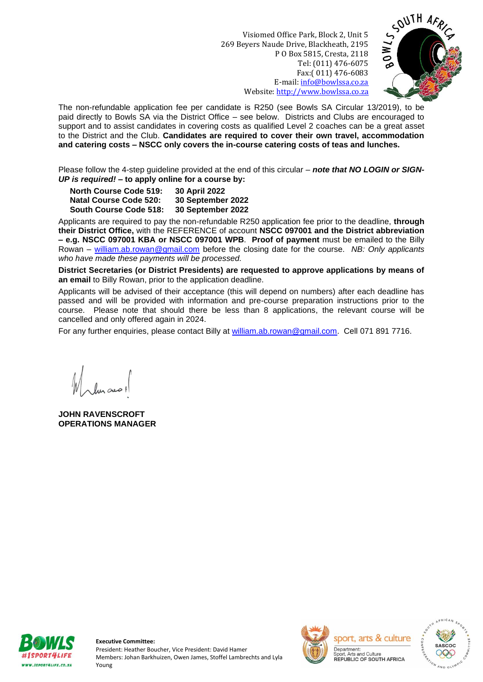Visiomed Office Park, Block 2, Unit 5 269 Beyers Naude Drive, Blackheath, 2195 P O Box 5815, Cresta, 2118 Tel: (011) 476-6075 Fax:( 011) 476-6083 E-mail: [info@bowlssa.co.za](mailto:info@bowlssa.co.za) Website: [http://www.bowlssa.co.za](http://www.bowlssa.co.za/)



The non-refundable application fee per candidate is R250 (see Bowls SA Circular 13/2019), to be paid directly to Bowls SA via the District Office – see below. Districts and Clubs are encouraged to support and to assist candidates in covering costs as qualified Level 2 coaches can be a great asset to the District and the Club. **Candidates are required to cover their own travel, accommodation and catering costs – NSCC only covers the in-course catering costs of teas and lunches.**

Please follow the 4-step guideline provided at the end of this circular – *note that NO LOGIN or SIGN-UP is required!* **– to apply online for a course by:**

**North Course Code 519: 30 April 2022 Natal Course Code 520: 30 September 2022 South Course Code 518: 30 September 2022**

Applicants are required to pay the non-refundable R250 application fee prior to the deadline, **through their District Office,** with the REFERENCE of account **NSCC 097001 and the District abbreviation – e.g. NSCC 097001 KBA or NSCC 097001 WPB**. **Proof of payment** must be emailed to the Billy Rowan – [william.ab.rowan@gmail.com](mailto:william.ab.rowan@gmail.com) before the closing date for the course. *NB: Only applicants who have made these payments will be processed.*

**District Secretaries (or District Presidents) are requested to approve applications by means of an email** to Billy Rowan, prior to the application deadline.

Applicants will be advised of their acceptance (this will depend on numbers) after each deadline has passed and will be provided with information and pre-course preparation instructions prior to the course. Please note that should there be less than 8 applications, the relevant course will be cancelled and only offered again in 2024.

For any further enquiries, please contact Billy at [william.ab.rowan@gmail.com.](mailto:william.ab.rowan@gmail.com) Cell 071 891 7716.

**JOHN RAVENSCROFT OPERATIONS MANAGER**



**Executive Committee:** President: Heather Boucher, Vice President: David Hamer Members: Johan Barkhuizen, Owen James, Stoffel Lambrechts and Lyla Young